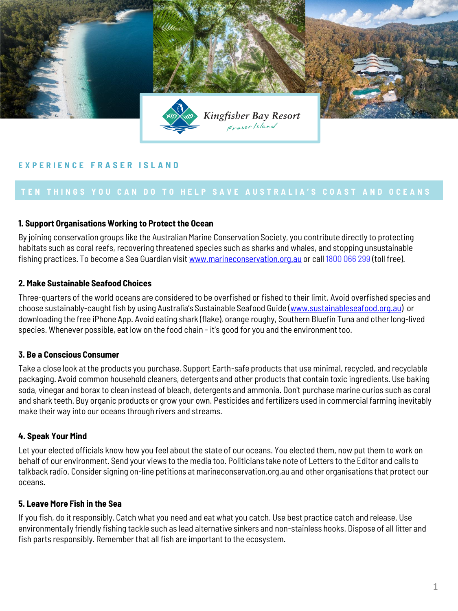

# **E X P E R I E N C E F R A S E R I S L A N D**

#### **1. Support Organisations Working to Protect the Ocean**

By joining conservation groups like the Australian Marine Conservation Society, you contribute directly to protecting habitats such as coral reefs, recovering threatened species such as sharks and whales, and stopping unsustainable fishing practices. To become a Sea Guardian visit [www.marineconservation.org.au](http://www.marineconservation.org.au/) or call 1800 066 299 (toll free).

#### **2. Make Sustainable Seafood Choices**

Three-quarters of the world oceans are considered to be overfished or fished to their limit. Avoid overfished species and choose sustainably-caught fish by using Australia's Sustainable Seafood Guide ([www.sustainableseafood.org.au](http://www.sustainableseafood.org.au/)) or downloading the free iPhone App. Avoid eating shark (flake), orange roughy, Southern Bluefin Tuna and other long-lived species. Whenever possible, eat low on the food chain - it's good for you and the environment too.

### **3. Be a Conscious Consumer**

Take a close look at the products you purchase. Support Earth-safe products that use minimal, recycled, and recyclable packaging. Avoid common household cleaners, detergents and other products that contain toxic ingredients. Use baking soda, vinegar and borax to clean instead of bleach, detergents and ammonia. Don't purchase marine curios such as coral and shark teeth. Buy organic products or grow your own. Pesticides and fertilizers used in commercial farming inevitably make their way into our oceans through rivers and streams.

#### **4. Speak Your Mind**

Let your elected officials know how you feel about the state of our oceans. You elected them, now put them to work on behalf of our environment. Send your views to the media too. Politicians take note of Letters to the Editor and calls to talkback radio. Consider signing on-line petitions at marineconservation.org.au and other organisations that protect our oceans.

## **5. Leave More Fish in the Sea**

If you fish, do it responsibly. Catch what you need and eat what you catch. Use best practice catch and release. Use environmentally friendly fishing tackle such as lead alternative sinkers and non-stainless hooks. Dispose of all litter and fish parts responsibly. Remember that all fish are important to the ecosystem.